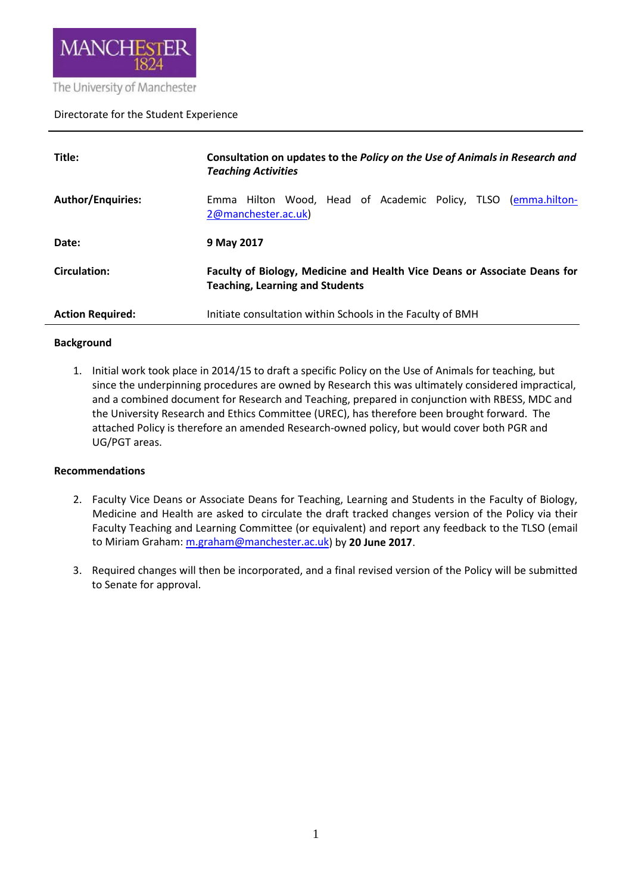

## Directorate for the Student Experience

| Title:                   | Consultation on updates to the Policy on the Use of Animals in Research and<br><b>Teaching Activities</b>           |
|--------------------------|---------------------------------------------------------------------------------------------------------------------|
| <b>Author/Enquiries:</b> | Emma Hilton Wood, Head of Academic Policy, TLSO (emma.hilton-<br>2@manchester.ac.uk)                                |
| Date:                    | 9 May 2017                                                                                                          |
| <b>Circulation:</b>      | Faculty of Biology, Medicine and Health Vice Deans or Associate Deans for<br><b>Teaching, Learning and Students</b> |
| <b>Action Required:</b>  | Initiate consultation within Schools in the Faculty of BMH                                                          |

# **Background**

1. Initial work took place in 2014/15 to draft a specific Policy on the Use of Animals for teaching, but since the underpinning procedures are owned by Research this was ultimately considered impractical, and a combined document for Research and Teaching, prepared in conjunction with RBESS, MDC and the University Research and Ethics Committee (UREC), has therefore been brought forward. The attached Policy is therefore an amended Research-owned policy, but would cover both PGR and UG/PGT areas.

#### **Recommendations**

- 2. Faculty Vice Deans or Associate Deans for Teaching, Learning and Students in the Faculty of Biology, Medicine and Health are asked to circulate the draft tracked changes version of the Policy via their Faculty Teaching and Learning Committee (or equivalent) and report any feedback to the TLSO (email to Miriam Graham: [m.graham@manchester.ac.uk\)](mailto:m.graham@manchester.ac.uk) by **20 June 2017**.
- 3. Required changes will then be incorporated, and a final revised version of the Policy will be submitted to Senate for approval.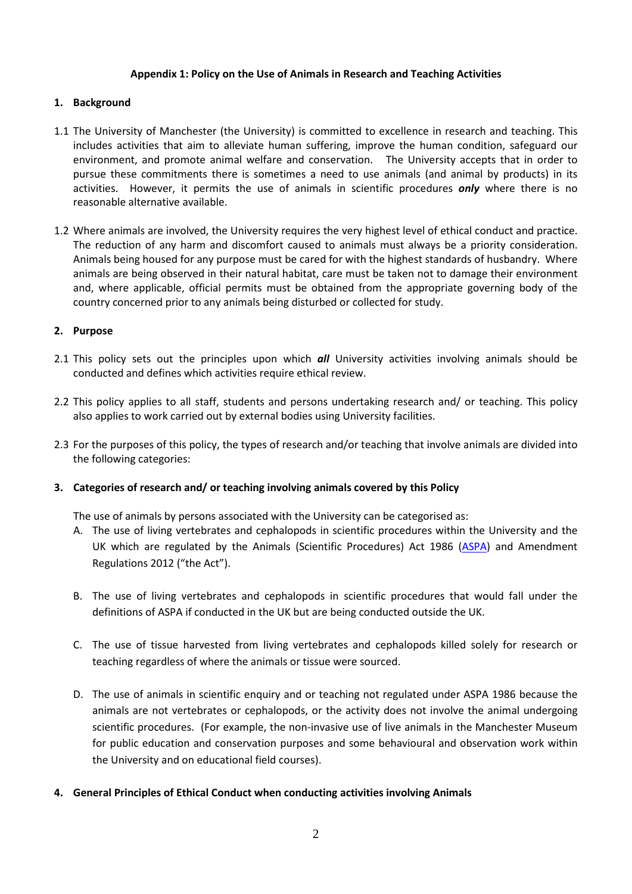## **Appendix 1: Policy on the Use of Animals in Research and Teaching Activities**

# **1. Background**

- 1.1 The University of Manchester (the University) is committed to excellence in research and teaching. This includes activities that aim to alleviate human suffering, improve the human condition, safeguard our environment, and promote animal welfare and conservation. The University accepts that in order to pursue these commitments there is sometimes a need to use animals (and animal by products) in its activities. However, it permits the use of animals in scientific procedures *only* where there is no reasonable alternative available.
- 1.2 Where animals are involved, the University requires the very highest level of ethical conduct and practice. The reduction of any harm and discomfort caused to animals must always be a priority consideration. Animals being housed for any purpose must be cared for with the highest standards of husbandry. Where animals are being observed in their natural habitat, care must be taken not to damage their environment and, where applicable, official permits must be obtained from the appropriate governing body of the country concerned prior to any animals being disturbed or collected for study.

# **2. Purpose**

- 2.1 This policy sets out the principles upon which *all* University activities involving animals should be conducted and defines which activities require ethical review.
- 2.2 This policy applies to all staff, students and persons undertaking research and/ or teaching. This policy also applies to work carried out by external bodies using University facilities.
- 2.3 For the purposes of this policy, the types of research and/or teaching that involve animals are divided into the following categories:

#### **3. Categories of research and/ or teaching involving animals covered by this Policy**

The use of animals by persons associated with the University can be categorised as:

- A. The use of living vertebrates and cephalopods in scientific procedures within the University and the UK which are regulated by the Animals (Scientific Procedures) Act 1986 [\(ASPA\)](http://www.archive.official-documents.co.uk/document/hoc/321/321-xa.htm) and Amendment Regulations 2012 ("the Act").
- B. The use of living vertebrates and cephalopods in scientific procedures that would fall under the definitions of ASPA if conducted in the UK but are being conducted outside the UK.
- C. The use of tissue harvested from living vertebrates and cephalopods killed solely for research or teaching regardless of where the animals or tissue were sourced.
- D. The use of animals in scientific enquiry and or teaching not regulated under ASPA 1986 because the animals are not vertebrates or cephalopods, or the activity does not involve the animal undergoing scientific procedures. (For example, the non-invasive use of live animals in the Manchester Museum for public education and conservation purposes and some behavioural and observation work within the University and on educational field courses).
- **4. General Principles of Ethical Conduct when conducting activities involving Animals**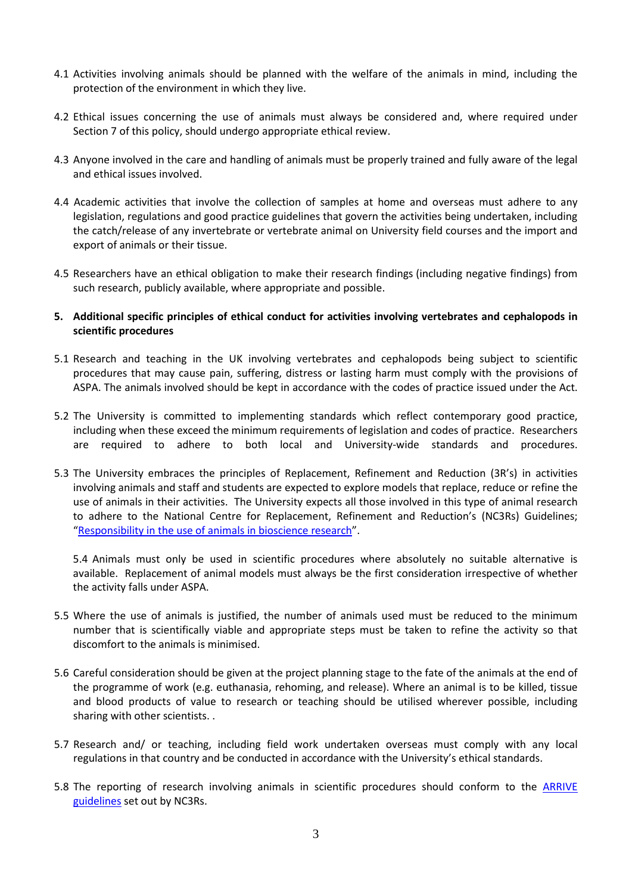- 4.1 Activities involving animals should be planned with the welfare of the animals in mind, including the protection of the environment in which they live.
- 4.2 Ethical issues concerning the use of animals must always be considered and, where required under Section 7 of this policy, should undergo appropriate ethical review.
- 4.3 Anyone involved in the care and handling of animals must be properly trained and fully aware of the legal and ethical issues involved.
- 4.4 Academic activities that involve the collection of samples at home and overseas must adhere to any legislation, regulations and good practice guidelines that govern the activities being undertaken, including the catch/release of any invertebrate or vertebrate animal on University field courses and the import and export of animals or their tissue.
- 4.5 Researchers have an ethical obligation to make their research findings (including negative findings) from such research, publicly available, where appropriate and possible.
- **5. Additional specific principles of ethical conduct for activities involving vertebrates and cephalopods in scientific procedures**
- 5.1 Research and teaching in the UK involving vertebrates and cephalopods being subject to scientific procedures that may cause pain, suffering, distress or lasting harm must comply with the provisions of ASPA. The animals involved should be kept in accordance with the codes of practice issued under the Act.
- 5.2 The University is committed to implementing standards which reflect contemporary good practice, including when these exceed the minimum requirements of legislation and codes of practice. Researchers are required to adhere to both local and University-wide standards and procedures.
- 5.3 The University embraces the principles of Replacement, Refinement and Reduction (3R's) in activities involving animals and staff and students are expected to explore models that replace, reduce or refine the use of animals in their activities. The University expects all those involved in this type of animal research to adhere to the National Centre for Replacement, Refinement and Reduction's (NC3Rs) Guidelines; ["Responsibility in the use of animals in bioscience research"](http://www.nc3rs.org.uk/the-3rs).

5.4 Animals must only be used in scientific procedures where absolutely no suitable alternative is available. Replacement of animal models must always be the first consideration irrespective of whether the activity falls under ASPA.

- 5.5 Where the use of animals is justified, the number of animals used must be reduced to the minimum number that is scientifically viable and appropriate steps must be taken to refine the activity so that discomfort to the animals is minimised.
- 5.6 Careful consideration should be given at the project planning stage to the fate of the animals at the end of the programme of work (e.g. euthanasia, rehoming, and release). Where an animal is to be killed, tissue and blood products of value to research or teaching should be utilised wherever possible, including sharing with other scientists. .
- 5.7 Research and/ or teaching, including field work undertaken overseas must comply with any local regulations in that country and be conducted in accordance with the University's ethical standards.
- 5.8 The reporting of research involving animals in scientific procedures should conform to the [ARRIVE](http://www.nc3rs.org.uk/downloaddoc.asp?id=1206&page=1357&skin=0)  [guidelines](http://www.nc3rs.org.uk/downloaddoc.asp?id=1206&page=1357&skin=0) set out by NC3Rs.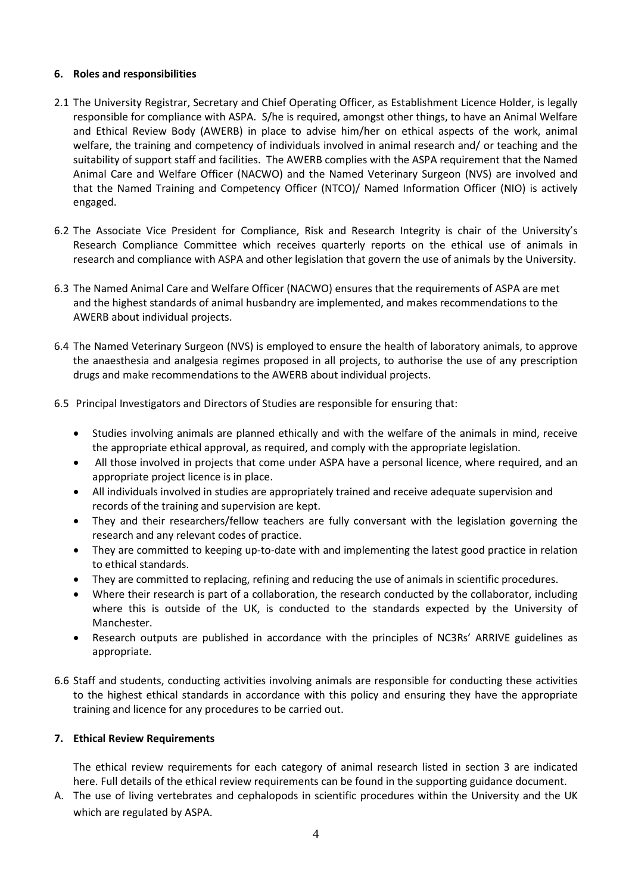# **6. Roles and responsibilities**

- 2.1 The University Registrar, Secretary and Chief Operating Officer, as Establishment Licence Holder, is legally responsible for compliance with ASPA. S/he is required, amongst other things, to have an Animal Welfare and Ethical Review Body (AWERB) in place to advise him/her on ethical aspects of the work, animal welfare, the training and competency of individuals involved in animal research and/ or teaching and the suitability of support staff and facilities. The AWERB complies with the ASPA requirement that the Named Animal Care and Welfare Officer (NACWO) and the Named Veterinary Surgeon (NVS) are involved and that the Named Training and Competency Officer (NTCO)/ Named Information Officer (NIO) is actively engaged.
- 6.2 The Associate Vice President for Compliance, Risk and Research Integrity is chair of the University's Research Compliance Committee which receives quarterly reports on the ethical use of animals in research and compliance with ASPA and other legislation that govern the use of animals by the University.
- 6.3 The Named Animal Care and Welfare Officer (NACWO) ensures that the requirements of ASPA are met and the highest standards of animal husbandry are implemented, and makes recommendations to the AWERB about individual projects.
- 6.4 The Named Veterinary Surgeon (NVS) is employed to ensure the health of laboratory animals, to approve the anaesthesia and analgesia regimes proposed in all projects, to authorise the use of any prescription drugs and make recommendations to the AWERB about individual projects.
- 6.5 Principal Investigators and Directors of Studies are responsible for ensuring that:
	- Studies involving animals are planned ethically and with the welfare of the animals in mind, receive the appropriate ethical approval, as required, and comply with the appropriate legislation.
	- All those involved in projects that come under ASPA have a personal licence, where required, and an appropriate project licence is in place.
	- All individuals involved in studies are appropriately trained and receive adequate supervision and records of the training and supervision are kept.
	- They and their researchers/fellow teachers are fully conversant with the legislation governing the research and any relevant codes of practice.
	- They are committed to keeping up-to-date with and implementing the latest good practice in relation to ethical standards.
	- They are committed to replacing, refining and reducing the use of animals in scientific procedures.
	- Where their research is part of a collaboration, the research conducted by the collaborator, including where this is outside of the UK, is conducted to the standards expected by the University of Manchester.
	- Research outputs are published in accordance with the principles of NC3Rs' ARRIVE guidelines as appropriate.
- 6.6 Staff and students, conducting activities involving animals are responsible for conducting these activities to the highest ethical standards in accordance with this policy and ensuring they have the appropriate training and licence for any procedures to be carried out.

#### **7. Ethical Review Requirements**

The ethical review requirements for each category of animal research listed in section 3 are indicated here. Full details of the ethical review requirements can be found in the supporting guidance document.

A. The use of living vertebrates and cephalopods in scientific procedures within the University and the UK which are regulated by ASPA.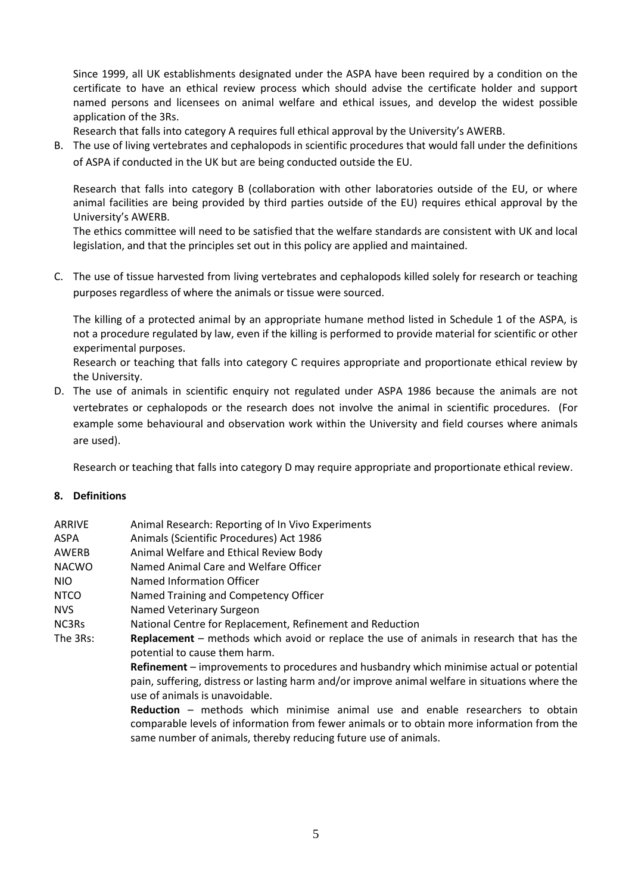Since 1999, all UK establishments designated under the ASPA have been required by a condition on the certificate to have an ethical review process which should advise the certificate holder and support named persons and licensees on animal welfare and ethical issues, and develop the widest possible application of the 3Rs.

Research that falls into category A requires full ethical approval by the University's AWERB.

B. The use of living vertebrates and cephalopods in scientific procedures that would fall under the definitions of ASPA if conducted in the UK but are being conducted outside the EU.

Research that falls into category B (collaboration with other laboratories outside of the EU, or where animal facilities are being provided by third parties outside of the EU) requires ethical approval by the University's AWERB.

The ethics committee will need to be satisfied that the welfare standards are consistent with UK and local legislation, and that the principles set out in this policy are applied and maintained.

C. The use of tissue harvested from living vertebrates and cephalopods killed solely for research or teaching purposes regardless of where the animals or tissue were sourced.

The killing of a protected animal by an appropriate humane method listed in Schedule 1 of the ASPA, is not a procedure regulated by law, even if the killing is performed to provide material for scientific or other experimental purposes.

Research or teaching that falls into category C requires appropriate and proportionate ethical review by the University.

D. The use of animals in scientific enquiry not regulated under ASPA 1986 because the animals are not vertebrates or cephalopods or the research does not involve the animal in scientific procedures. (For example some behavioural and observation work within the University and field courses where animals are used).

Research or teaching that falls into category D may require appropriate and proportionate ethical review.

#### **8. Definitions**

| <b>ARRIVE</b> | Animal Research: Reporting of In Vivo Experiments                                                                                                                                                                                                      |
|---------------|--------------------------------------------------------------------------------------------------------------------------------------------------------------------------------------------------------------------------------------------------------|
| ASPA          | Animals (Scientific Procedures) Act 1986                                                                                                                                                                                                               |
| AWERB         | Animal Welfare and Ethical Review Body                                                                                                                                                                                                                 |
| <b>NACWO</b>  | Named Animal Care and Welfare Officer                                                                                                                                                                                                                  |
| NIO.          | Named Information Officer                                                                                                                                                                                                                              |
| <b>NTCO</b>   | Named Training and Competency Officer                                                                                                                                                                                                                  |
| <b>NVS</b>    | Named Veterinary Surgeon                                                                                                                                                                                                                               |
| NC3Rs         | National Centre for Replacement, Refinement and Reduction                                                                                                                                                                                              |
| The 3Rs:      | <b>Replacement</b> – methods which avoid or replace the use of animals in research that has the<br>potential to cause them harm.                                                                                                                       |
|               | <b>Refinement</b> – improvements to procedures and husbandry which minimise actual or potential<br>pain, suffering, distress or lasting harm and/or improve animal welfare in situations where the<br>use of animals is unavoidable.                   |
|               | <b>Reduction</b> – methods which minimise animal use and enable researchers to obtain<br>comparable levels of information from fewer animals or to obtain more information from the<br>same number of animals, thereby reducing future use of animals. |